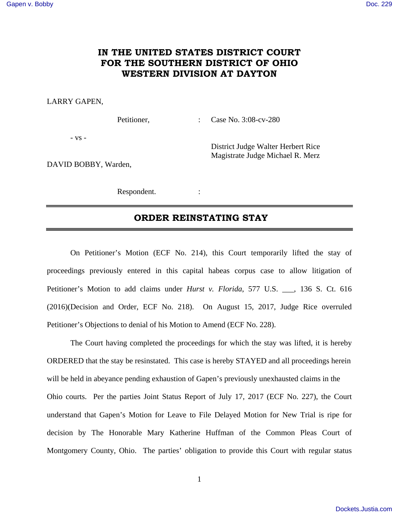## **IN THE UNITED STATES DISTRICT COURT FOR THE SOUTHERN DISTRICT OF OHIO WESTERN DIVISION AT DAYTON**

## LARRY GAPEN,

Petitioner, : Case No. 3:08-cv-280

District Judge Walter Herbert Rice Magistrate Judge Michael R. Merz

- vs -

DAVID BOBBY, Warden,

Respondent. :

## **ORDER REINSTATING STAY**

 On Petitioner's Motion (ECF No. 214), this Court temporarily lifted the stay of proceedings previously entered in this capital habeas corpus case to allow litigation of Petitioner's Motion to add claims under *Hurst v. Florida*, 577 U.S. \_\_\_, 136 S. Ct. 616 (2016)(Decision and Order, ECF No. 218). On August 15, 2017, Judge Rice overruled Petitioner's Objections to denial of his Motion to Amend (ECF No. 228).

 The Court having completed the proceedings for which the stay was lifted, it is hereby ORDERED that the stay be resinstated. This case is hereby STAYED and all proceedings herein will be held in abeyance pending exhaustion of Gapen's previously unexhausted claims in the Ohio courts. Per the parties Joint Status Report of July 17, 2017 (ECF No. 227), the Court understand that Gapen's Motion for Leave to File Delayed Motion for New Trial is ripe for decision by The Honorable Mary Katherine Huffman of the Common Pleas Court of Montgomery County, Ohio. The parties' obligation to provide this Court with regular status

1